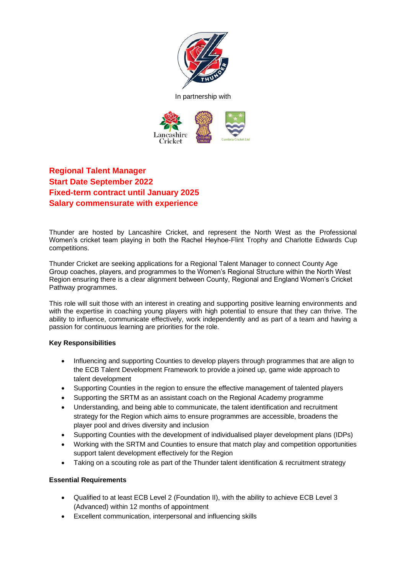



# **Regional Talent Manager Start Date September 2022 Fixed-term contract until January 2025 Salary commensurate with experience**

Thunder are hosted by Lancashire Cricket, and represent the North West as the Professional Women's cricket team playing in both the Rachel Heyhoe-Flint Trophy and Charlotte Edwards Cup competitions.

Thunder Cricket are seeking applications for a Regional Talent Manager to connect County Age Group coaches, players, and programmes to the Women's Regional Structure within the North West Region ensuring there is a clear alignment between County, Regional and England Women's Cricket Pathway programmes.

This role will suit those with an interest in creating and supporting positive learning environments and with the expertise in coaching young players with high potential to ensure that they can thrive. The ability to influence, communicate effectively, work independently and as part of a team and having a passion for continuous learning are priorities for the role.

## **Key Responsibilities**

- Influencing and supporting Counties to develop players through programmes that are align to the ECB Talent Development Framework to provide a joined up, game wide approach to talent development
- Supporting Counties in the region to ensure the effective management of talented players
- Supporting the SRTM as an assistant coach on the Regional Academy programme
- Understanding, and being able to communicate, the talent identification and recruitment strategy for the Region which aims to ensure programmes are accessible, broadens the player pool and drives diversity and inclusion
- Supporting Counties with the development of individualised player development plans (IDPs)
- Working with the SRTM and Counties to ensure that match play and competition opportunities support talent development effectively for the Region
- Taking on a scouting role as part of the Thunder talent identification & recruitment strategy

### **Essential Requirements**

- Qualified to at least ECB Level 2 (Foundation II), with the ability to achieve ECB Level 3 (Advanced) within 12 months of appointment
- Excellent communication, interpersonal and influencing skills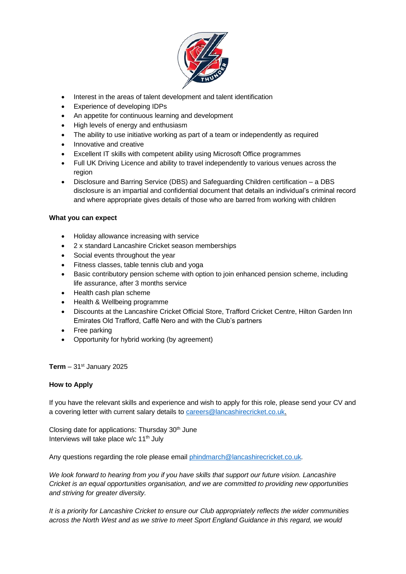

- Interest in the areas of talent development and talent identification
- Experience of developing IDPs
- An appetite for continuous learning and development
- High levels of energy and enthusiasm
- The ability to use initiative working as part of a team or independently as required
- Innovative and creative
- Excellent IT skills with competent ability using Microsoft Office programmes
- Full UK Driving Licence and ability to travel independently to various venues across the region
- Disclosure and Barring Service (DBS) and Safeguarding Children certification a DBS disclosure is an impartial and confidential document that details an individual's criminal record and where appropriate gives details of those who are barred from working with children

## **What you can expect**

- Holiday allowance increasing with service
- 2 x standard Lancashire Cricket season memberships
- Social events throughout the year
- Fitness classes, table tennis club and yoga
- Basic contributory pension scheme with option to join enhanced pension scheme, including life assurance, after 3 months service
- Health cash plan scheme
- Health & Wellbeing programme
- Discounts at the Lancashire Cricket Official Store, Trafford Cricket Centre, Hilton Garden Inn Emirates Old Trafford, Caffè Nero and with the Club's partners
- Free parking
- Opportunity for hybrid working (by agreement)

## **Term**  $-31$ <sup>st</sup> January 2025

## **How to Apply**

If you have the relevant skills and experience and wish to apply for this role, please send your CV and a covering letter with current salary details t[o careers@lancashirecricket.co.uk.](mailto:careers@lancashirecricket.co.uk)

Closing date for applications: Thursday  $30<sup>th</sup>$  June Interviews will take place  $w/c$  11<sup>th</sup> July

Any questions regarding the role please email [phindmarch@lancashirecricket.co.uk.](mailto:phindmarch@lancashirecricket.co.uk)

*We look forward to hearing from you if you have skills that support our future vision. Lancashire Cricket is an equal opportunities organisation, and we are committed to providing new opportunities and striving for greater diversity.* 

*It is a priority for Lancashire Cricket to ensure our Club appropriately reflects the wider communities across the North West and as we strive to meet Sport England Guidance in this regard, we would*